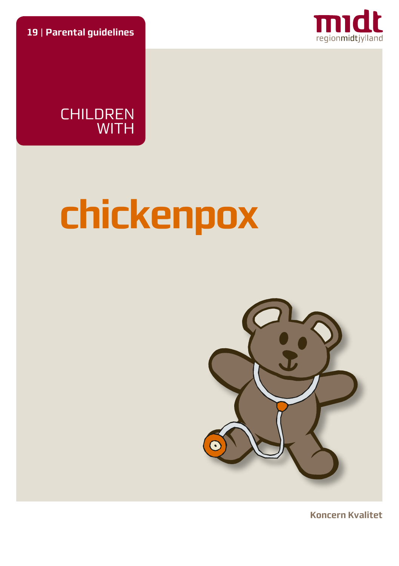**19** | **Parental guidelines**



CHILDREN WITH

# **chickenpox**



**Koncern Kvalitet**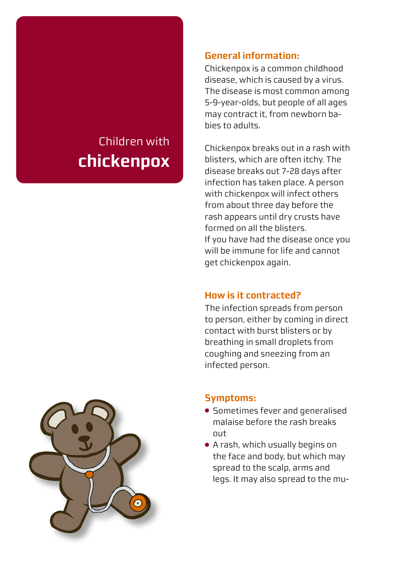# Children with **chickenpox**

## **General information:**

Chickenpox is a common childhood disease, which is caused by a virus. The disease is most common among 5-9-year-olds, but people of all ages may contract it, from newborn babies to adults.

Chickenpox breaks out in a rash with blisters, which are often itchy. The disease breaks out 7-28 days after infection has taken place. A person with chickenpox will infect others from about three day before the rash appears until dry crusts have formed on all the blisters. If you have had the disease once you will be immune for life and cannot get chickenpox again.

# **How is it contracted?**

The infection spreads from person to person, either by coming in direct contact with burst blisters or by breathing in small droplets from coughing and sneezing from an infected person.



# **Symptoms:**

- Sometimes fever and generalised malaise before the rash breaks out
- A rash, which usually begins on the face and body, but which may spread to the scalp, arms and legs. It may also spread to the mu-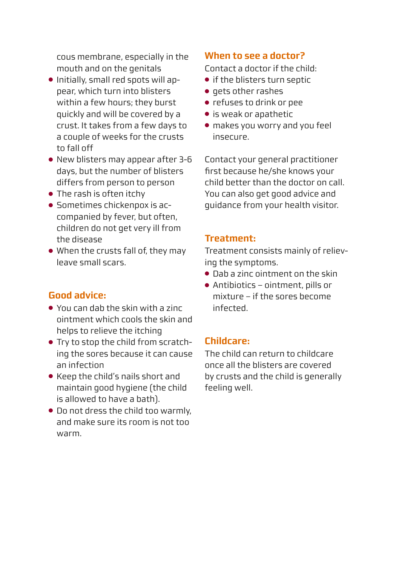cous membrane, especially in the mouth and on the genitals

- Initially, small red spots will appear, which turn into blisters within a few hours; they burst quickly and will be covered by a crust. It takes from a few days to a couple of weeks for the crusts to fall off
- New blisters may appear after 3-6 days, but the number of blisters differs from person to person
- The rash is often itchy
- Sometimes chickenpox is accompanied by fever, but often, children do not get very ill from the disease
- When the crusts fall of, they may leave small scars.

# **Good advice:**

- You can dab the skin with a zinc ointment which cools the skin and helps to relieve the itching
- Try to stop the child from scratching the sores because it can cause an infection
- Keep the child's nails short and maintain good hygiene (the child is allowed to have a bath).
- Do not dress the child too warmly, and make sure its room is not too warm.

# **When to see a doctor?**

Contact a doctor if the child:

- if the blisters turn septic
- gets other rashes
- refuses to drink or pee
- is weak or apathetic
- makes you worry and you feel insecure.

Contact your general practitioner first because he/she knows your child better than the doctor on call. You can also get good advice and guidance from your health visitor.

## **Treatment:**

Treatment consists mainly of relieving the symptoms.

- Dab a zinc ointment on the skin
- Antibiotics ointment, pills or mixture – if the sores become infected.

#### **Childcare:**

The child can return to childcare once all the blisters are covered by crusts and the child is generally feeling well.